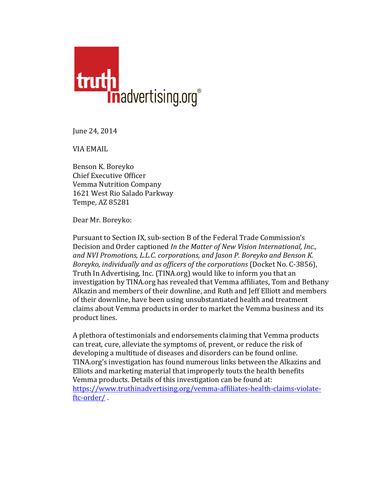

June 24, 2014

**VIA EMAIL** 

Benson K. Boreyko Chief Executive Officer Vemma Nutrition Company 1621 West Rio Salado Parkway Tempe, AZ 85281

Dear Mr. Boreyko:

Pursuant to Section IX, sub-section B of the Federal Trade Commission's Decision and Order captioned *In the Matter of New Vision International, Inc., and NVI Promotions, L.L.C. corporations, and Jason P. Boreyko and Benson K. Boreyko, individually and as officers of the corporations* (Docket No. C-3856), Truth In Advertising, Inc. (TINA.org) would like to inform you that an investigation by TINA.org has revealed that Vemma affiliates, Tom and Bethany Alkazin and members of their downline, and Ruth and Jeff Elliott and members of their downline, have been using unsubstantiated health and treatment claims about Vemma products in order to market the Vemma business and its product lines.

A plethora of testimonials and endorsements claiming that Vemma products can treat, cure, alleviate the symptoms of, prevent, or reduce the risk of developing a multitude of diseases and disorders can be found online. TINA.org's investigation has found numerous links between the Alkazins and Elliots and marketing material that improperly touts the health benefits Vemma products. Details of this investigation can be found at: https://www.truthinadvertising.org/vemma-affiliates-health-claims-violateftc-order/ .